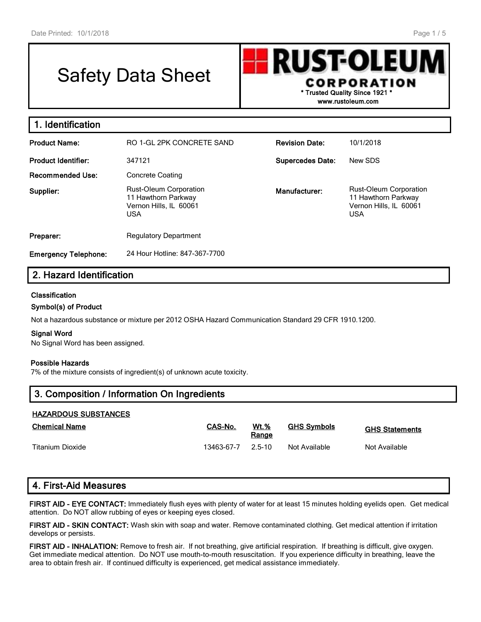# Safety Data Sheet

RUSTOLEU CORPORATION **\* Trusted Quality Since 1921 \***

**www.rustoleum.com**

| 1. Identification           |                                                                                              |                         |                                                                                       |
|-----------------------------|----------------------------------------------------------------------------------------------|-------------------------|---------------------------------------------------------------------------------------|
| <b>Product Name:</b>        | RO 1-GL 2PK CONCRETE SAND                                                                    | <b>Revision Date:</b>   | 10/1/2018                                                                             |
| <b>Product Identifier:</b>  | 347121                                                                                       | <b>Supercedes Date:</b> | New SDS                                                                               |
| <b>Recommended Use:</b>     | <b>Concrete Coating</b>                                                                      |                         |                                                                                       |
| Supplier:                   | <b>Rust-Oleum Corporation</b><br>11 Hawthorn Parkway<br>Vernon Hills, IL 60061<br><b>USA</b> | Manufacturer:           | Rust-Oleum Corporation<br>11 Hawthorn Parkway<br>Vernon Hills, IL 60061<br><b>USA</b> |
| Preparer:                   | <b>Regulatory Department</b>                                                                 |                         |                                                                                       |
| <b>Emergency Telephone:</b> | 24 Hour Hotline: 847-367-7700                                                                |                         |                                                                                       |

# **2. Hazard Identification**

## **Classification**

## **Symbol(s) of Product**

Not a hazardous substance or mixture per 2012 OSHA Hazard Communication Standard 29 CFR 1910.1200.

#### **Signal Word**

No Signal Word has been assigned.

#### **Possible Hazards**

7% of the mixture consists of ingredient(s) of unknown acute toxicity.

## **3. Composition / Information On Ingredients**

## **HAZARDOUS SUBSTANCES**

| <b>Chemical Name</b> | CAS-No.    | <b>Wt.%</b><br>Range | <b>GHS Symbols</b> | <b>GHS Statements</b> |
|----------------------|------------|----------------------|--------------------|-----------------------|
| Titanium Dioxide     | 13463-67-7 | $25-10$              | Not Available      | Not Available         |

## **4. First-Aid Measures**

**FIRST AID - EYE CONTACT:** Immediately flush eyes with plenty of water for at least 15 minutes holding eyelids open. Get medical attention. Do NOT allow rubbing of eyes or keeping eyes closed.

**FIRST AID - SKIN CONTACT:** Wash skin with soap and water. Remove contaminated clothing. Get medical attention if irritation develops or persists.

**FIRST AID - INHALATION:** Remove to fresh air. If not breathing, give artificial respiration. If breathing is difficult, give oxygen. Get immediate medical attention. Do NOT use mouth-to-mouth resuscitation. If you experience difficulty in breathing, leave the area to obtain fresh air. If continued difficulty is experienced, get medical assistance immediately.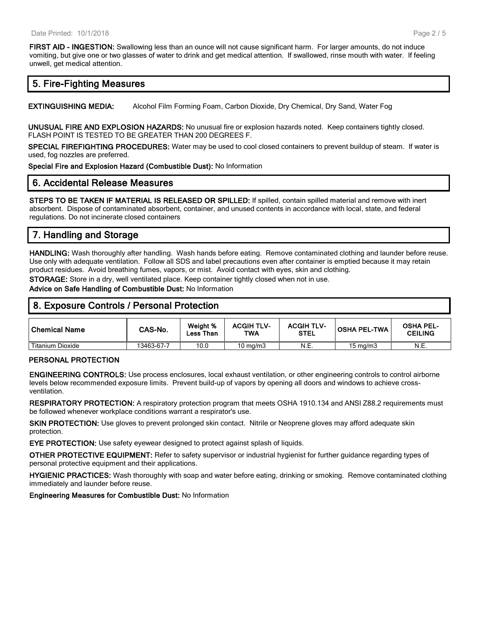**FIRST AID - INGESTION:** Swallowing less than an ounce will not cause significant harm. For larger amounts, do not induce vomiting, but give one or two glasses of water to drink and get medical attention. If swallowed, rinse mouth with water. If feeling unwell, get medical attention.

# **5. Fire-Fighting Measures**

**EXTINGUISHING MEDIA:** Alcohol Film Forming Foam, Carbon Dioxide, Dry Chemical, Dry Sand, Water Fog

**UNUSUAL FIRE AND EXPLOSION HAZARDS:** No unusual fire or explosion hazards noted. Keep containers tightly closed. FLASH POINT IS TESTED TO BE GREATER THAN 200 DEGREES F.

**SPECIAL FIREFIGHTING PROCEDURES:** Water may be used to cool closed containers to prevent buildup of steam. If water is used, fog nozzles are preferred.

**Special Fire and Explosion Hazard (Combustible Dust):** No Information

# **6. Accidental Release Measures**

**STEPS TO BE TAKEN IF MATERIAL IS RELEASED OR SPILLED:** If spilled, contain spilled material and remove with inert absorbent. Dispose of contaminated absorbent, container, and unused contents in accordance with local, state, and federal regulations. Do not incinerate closed containers

# **7. Handling and Storage**

**HANDLING:** Wash thoroughly after handling. Wash hands before eating. Remove contaminated clothing and launder before reuse. Use only with adequate ventilation. Follow all SDS and label precautions even after container is emptied because it may retain product residues. Avoid breathing fumes, vapors, or mist. Avoid contact with eyes, skin and clothing.

**STORAGE:** Store in a dry, well ventilated place. Keep container tightly closed when not in use.

**Advice on Safe Handling of Combustible Dust:** No Information

## **8. Exposure Controls / Personal Protection**

| <b>Chemical Name</b> | CAS-No.    | Weight %<br>Less Than | <b>ACGIH TLV-</b><br>TWA | <b>ACGIH TLV-</b><br><b>STEL</b> | OSHA PEL-TWA      | <b>OSHA PEL-</b><br><b>CEILING</b> |
|----------------------|------------|-----------------------|--------------------------|----------------------------------|-------------------|------------------------------------|
| Titanium Dioxide     | 13463-67-7 | 10.0                  | $10 \text{ ma/m}$ 3      | N.E.                             | $15 \text{ ma/m}$ | N.E.                               |

#### **PERSONAL PROTECTION**

**ENGINEERING CONTROLS:** Use process enclosures, local exhaust ventilation, or other engineering controls to control airborne levels below recommended exposure limits. Prevent build-up of vapors by opening all doors and windows to achieve crossventilation.

**RESPIRATORY PROTECTION:** A respiratory protection program that meets OSHA 1910.134 and ANSI Z88.2 requirements must be followed whenever workplace conditions warrant a respirator's use.

**SKIN PROTECTION:** Use gloves to prevent prolonged skin contact. Nitrile or Neoprene gloves may afford adequate skin protection.

**EYE PROTECTION:** Use safety eyewear designed to protect against splash of liquids.

**OTHER PROTECTIVE EQUIPMENT:** Refer to safety supervisor or industrial hygienist for further guidance regarding types of personal protective equipment and their applications.

**HYGIENIC PRACTICES:** Wash thoroughly with soap and water before eating, drinking or smoking. Remove contaminated clothing immediately and launder before reuse.

**Engineering Measures for Combustible Dust:** No Information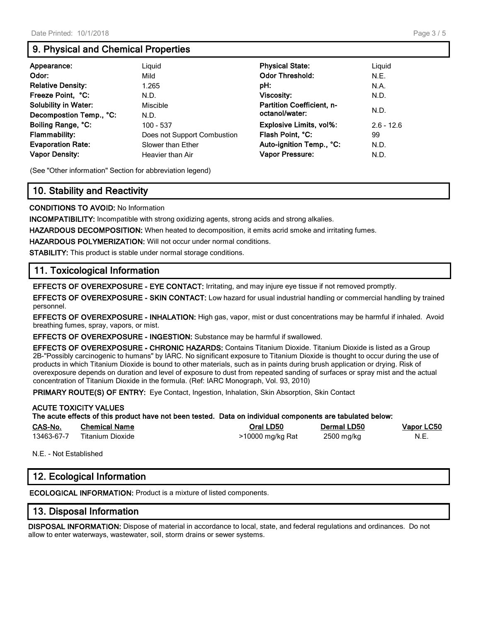# **9. Physical and Chemical Properties**

| Appearance:                 | Liguid                      | <b>Physical State:</b>           | Liguid       |
|-----------------------------|-----------------------------|----------------------------------|--------------|
| Odor:                       | Mild                        | <b>Odor Threshold:</b>           | N.E.         |
| <b>Relative Density:</b>    | 1.265                       | pH:                              | N.A.         |
| Freeze Point, °C:           | N.D.                        | Viscosity:                       | N.D.         |
| <b>Solubility in Water:</b> | Miscible                    | <b>Partition Coefficient, n-</b> | N.D.         |
| Decompostion Temp., °C:     | N.D.                        | octanol/water:                   |              |
| Boiling Range, °C:          | 100 - 537                   | <b>Explosive Limits, vol%:</b>   | $2.6 - 12.6$ |
| <b>Flammability:</b>        | Does not Support Combustion | Flash Point, °C:                 | 99           |
| <b>Evaporation Rate:</b>    | Slower than Ether           | Auto-ignition Temp., °C:         | N.D.         |
| <b>Vapor Density:</b>       | Heavier than Air            | <b>Vapor Pressure:</b>           | N.D.         |

(See "Other information" Section for abbreviation legend)

# **10. Stability and Reactivity**

**CONDITIONS TO AVOID:** No Information

**INCOMPATIBILITY:** Incompatible with strong oxidizing agents, strong acids and strong alkalies.

**HAZARDOUS DECOMPOSITION:** When heated to decomposition, it emits acrid smoke and irritating fumes.

**HAZARDOUS POLYMERIZATION:** Will not occur under normal conditions.

**STABILITY:** This product is stable under normal storage conditions.

## **11. Toxicological Information**

**EFFECTS OF OVEREXPOSURE - EYE CONTACT:** Irritating, and may injure eye tissue if not removed promptly.

**EFFECTS OF OVEREXPOSURE - SKIN CONTACT:** Low hazard for usual industrial handling or commercial handling by trained personnel.

**EFFECTS OF OVEREXPOSURE - INHALATION:** High gas, vapor, mist or dust concentrations may be harmful if inhaled. Avoid breathing fumes, spray, vapors, or mist.

**EFFECTS OF OVEREXPOSURE - INGESTION:** Substance may be harmful if swallowed.

**EFFECTS OF OVEREXPOSURE - CHRONIC HAZARDS:** Contains Titanium Dioxide. Titanium Dioxide is listed as a Group 2B-"Possibly carcinogenic to humans" by IARC. No significant exposure to Titanium Dioxide is thought to occur during the use of products in which Titanium Dioxide is bound to other materials, such as in paints during brush application or drying. Risk of overexposure depends on duration and level of exposure to dust from repeated sanding of surfaces or spray mist and the actual concentration of Titanium Dioxide in the formula. (Ref: IARC Monograph, Vol. 93, 2010)

**PRIMARY ROUTE(S) OF ENTRY:** Eye Contact, Ingestion, Inhalation, Skin Absorption, Skin Contact

|            | <b>ACUTE TOXICITY VALUES</b> | The acute effects of this product have not been tested. Data on individual components are tabulated below: |                    |                   |
|------------|------------------------------|------------------------------------------------------------------------------------------------------------|--------------------|-------------------|
| CAS-No.    | <b>Chemical Name</b>         | Oral LD50                                                                                                  | <b>Dermal LD50</b> | <b>Vapor LC50</b> |
| 13463-67-7 | Titanium Dioxide             | >10000 mg/kg Rat                                                                                           | 2500 mg/kg         | N.E.              |

N.E. - Not Established

# **12. Ecological Information**

**ECOLOGICAL INFORMATION:** Product is a mixture of listed components.

## **13. Disposal Information**

**DISPOSAL INFORMATION:** Dispose of material in accordance to local, state, and federal regulations and ordinances. Do not allow to enter waterways, wastewater, soil, storm drains or sewer systems.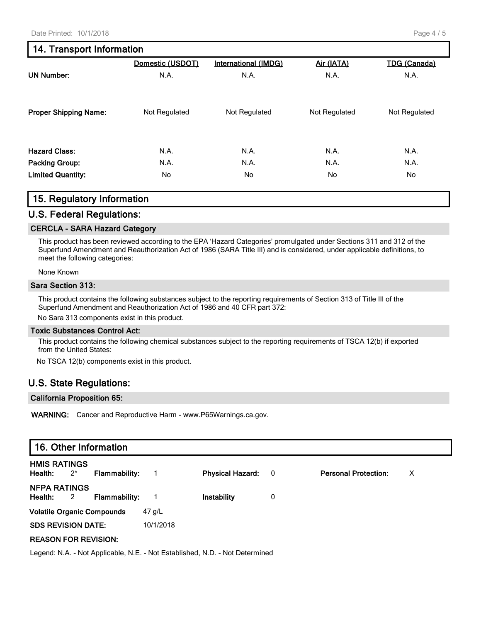## Page 4 / 5

# **14. Transport Information**

|                              | Domestic (USDOT) | <b>International (IMDG)</b> | Air (IATA)    | <b>TDG (Canada)</b> |
|------------------------------|------------------|-----------------------------|---------------|---------------------|
| <b>UN Number:</b>            | N.A.             | N.A.                        | N.A.          | N.A.                |
| <b>Proper Shipping Name:</b> | Not Regulated    | Not Regulated               | Not Regulated | Not Regulated       |
|                              |                  |                             |               |                     |
| <b>Hazard Class:</b>         | N.A.             | N.A.                        | N.A.          | N.A.                |
| <b>Packing Group:</b>        | N.A.             | N.A.                        | N.A.          | N.A.                |
| <b>Limited Quantity:</b>     | No.              | No.                         | No.           | No                  |

## **15. Regulatory Information**

## **U.S. Federal Regulations:**

## **CERCLA - SARA Hazard Category**

This product has been reviewed according to the EPA 'Hazard Categories' promulgated under Sections 311 and 312 of the Superfund Amendment and Reauthorization Act of 1986 (SARA Title III) and is considered, under applicable definitions, to meet the following categories:

#### None Known

#### **Sara Section 313:**

This product contains the following substances subject to the reporting requirements of Section 313 of Title III of the Superfund Amendment and Reauthorization Act of 1986 and 40 CFR part 372:

No Sara 313 components exist in this product.

#### **Toxic Substances Control Act:**

This product contains the following chemical substances subject to the reporting requirements of TSCA 12(b) if exported from the United States:

No TSCA 12(b) components exist in this product.

## **U.S. State Regulations:**

#### **California Proposition 65:**

**WARNING:** Cancer and Reproductive Harm - www.P65Warnings.ca.gov.

| <b>HMIS RATINGS</b><br>Health:<br>$2^*$<br><b>Physical Hazard:</b><br><b>Personal Protection:</b><br><b>Flammability:</b><br>х<br>$\overline{\mathbf{0}}$<br><b>NFPA RATINGS</b><br>Health:<br>0<br>$\overline{2}$<br><b>Flammability:</b><br>Instability |  |  |  |  |
|-----------------------------------------------------------------------------------------------------------------------------------------------------------------------------------------------------------------------------------------------------------|--|--|--|--|
|                                                                                                                                                                                                                                                           |  |  |  |  |
|                                                                                                                                                                                                                                                           |  |  |  |  |
| <b>Volatile Organic Compounds</b><br>47 g/L                                                                                                                                                                                                               |  |  |  |  |
| <b>SDS REVISION DATE:</b><br>10/1/2018                                                                                                                                                                                                                    |  |  |  |  |
| <b>REASON FOR REVISION:</b>                                                                                                                                                                                                                               |  |  |  |  |

Legend: N.A. - Not Applicable, N.E. - Not Established, N.D. - Not Determined